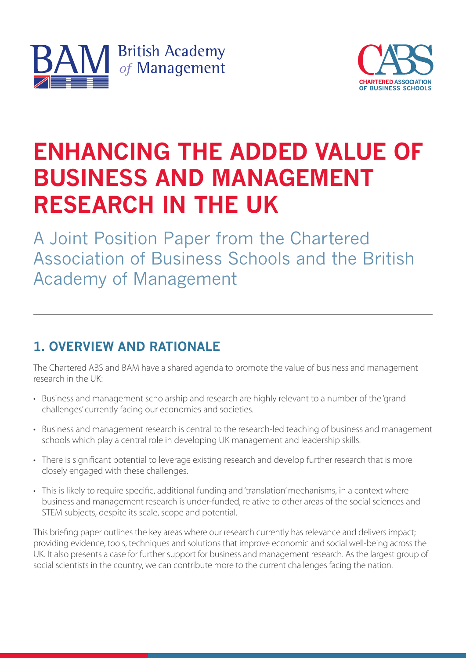



# **ENHANCING THE ADDED VALUE OF BUSINESS AND MANAGEMENT RESEARCH IN THE UK**

A Joint Position Paper from the Chartered Association of Business Schools and the British Academy of Management

# **1. OVERVIEW AND RATIONALE**

The Chartered ABS and BAM have a shared agenda to promote the value of business and management research in the UK:

- Business and management scholarship and research are highly relevant to a number of the 'grand challenges' currently facing our economies and societies.
- Business and management research is central to the research-led teaching of business and management schools which play a central role in developing UK management and leadership skills.
- There is significant potential to leverage existing research and develop further research that is more closely engaged with these challenges.
- This is likely to require specific, additional funding and 'translation' mechanisms, in a context where business and management research is under-funded, relative to other areas of the social sciences and STEM subjects, despite its scale, scope and potential.

This briefing paper outlines the key areas where our research currently has relevance and delivers impact; providing evidence, tools, techniques and solutions that improve economic and social well-being across the UK. It also presents a case for further support for business and management research. As the largest group of social scientists in the country, we can contribute more to the current challenges facing the nation.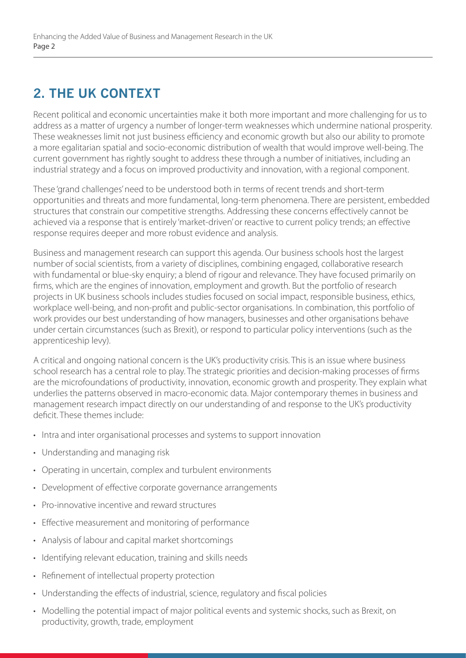# **2. THE UK CONTEXT**

Recent political and economic uncertainties make it both more important and more challenging for us to address as a matter of urgency a number of longer-term weaknesses which undermine national prosperity. These weaknesses limit not just business efficiency and economic growth but also our ability to promote a more egalitarian spatial and socio-economic distribution of wealth that would improve well-being. The current government has rightly sought to address these through a number of initiatives, including an industrial strategy and a focus on improved productivity and innovation, with a regional component.

These 'grand challenges' need to be understood both in terms of recent trends and short-term opportunities and threats and more fundamental, long-term phenomena. There are persistent, embedded structures that constrain our competitive strengths. Addressing these concerns effectively cannot be achieved via a response that is entirely 'market-driven' or reactive to current policy trends; an effective response requires deeper and more robust evidence and analysis.

Business and management research can support this agenda. Our business schools host the largest number of social scientists, from a variety of disciplines, combining engaged, collaborative research with fundamental or blue-sky enquiry; a blend of rigour and relevance. They have focused primarily on firms, which are the engines of innovation, employment and growth. But the portfolio of research projects in UK business schools includes studies focused on social impact, responsible business, ethics, workplace well-being, and non-profit and public-sector organisations. In combination, this portfolio of work provides our best understanding of how managers, businesses and other organisations behave under certain circumstances (such as Brexit), or respond to particular policy interventions (such as the apprenticeship levy).

A critical and ongoing national concern is the UK's productivity crisis. This is an issue where business school research has a central role to play. The strategic priorities and decision-making processes of firms are the microfoundations of productivity, innovation, economic growth and prosperity. They explain what underlies the patterns observed in macro-economic data. Major contemporary themes in business and management research impact directly on our understanding of and response to the UK's productivity deficit. These themes include:

- Intra and inter organisational processes and systems to support innovation
- Understanding and managing risk
- Operating in uncertain, complex and turbulent environments
- Development of effective corporate governance arrangements
- Pro-innovative incentive and reward structures
- Effective measurement and monitoring of performance
- Analysis of labour and capital market shortcomings
- Identifying relevant education, training and skills needs
- Refinement of intellectual property protection
- Understanding the effects of industrial, science, regulatory and fiscal policies
- Modelling the potential impact of major political events and systemic shocks, such as Brexit, on productivity, growth, trade, employment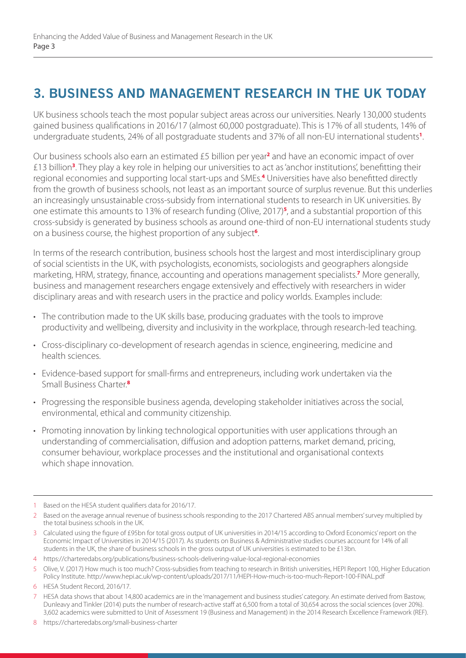## **3. BUSINESS AND MANAGEMENT RESEARCH IN THE UK TODAY**

UK business schools teach the most popular subject areas across our universities. Nearly 130,000 students gained business qualifications in 2016/17 (almost 60,000 postgraduate). This is 17% of all students, 14% of undergraduate students, 24% of all postgraduate students and 37% of all non-EU international students**<sup>1</sup>** .

Our business schools also earn an estimated £5 billion per year**<sup>2</sup>** and have an economic impact of over £13 billion**<sup>3</sup>** . They play a key role in helping our universities to act as 'anchor institutions', benefitting their regional economies and supporting local start-ups and SMEs.**<sup>4</sup>** Universities have also benefitted directly from the growth of business schools, not least as an important source of surplus revenue. But this underlies an increasingly unsustainable cross-subsidy from international students to research in UK universities. By one estimate this amounts to 13% of research funding (Olive, 2017)**<sup>5</sup>** , and a substantial proportion of this cross-subsidy is generated by business schools as around one-third of non-EU international students study on a business course, the highest proportion of any subject**<sup>6</sup>** .

In terms of the research contribution, business schools host the largest and most interdisciplinary group of social scientists in the UK, with psychologists, economists, sociologists and geographers alongside marketing, HRM, strategy, finance, accounting and operations management specialists.**<sup>7</sup>** More generally, business and management researchers engage extensively and effectively with researchers in wider disciplinary areas and with research users in the practice and policy worlds. Examples include:

- The contribution made to the UK skills base, producing graduates with the tools to improve productivity and wellbeing, diversity and inclusivity in the workplace, through research-led teaching.
- Cross-disciplinary co-development of research agendas in science, engineering, medicine and health sciences.
- Evidence-based support for small-firms and entrepreneurs, including work undertaken via the Small Business Charter.**<sup>8</sup>**
- Progressing the responsible business agenda, developing stakeholder initiatives across the social, environmental, ethical and community citizenship.
- Promoting innovation by linking technological opportunities with user applications through an understanding of commercialisation, diffusion and adoption patterns, market demand, pricing, consumer behaviour, workplace processes and the institutional and organisational contexts which shape innovation.

<sup>1</sup> Based on the HESA student qualifiers data for 2016/17.

<sup>2</sup> Based on the average annual revenue of business schools responding to the 2017 Chartered ABS annual members' survey multiplied by the total business schools in the UK.

<sup>3</sup> Calculated using the figure of £95bn for total gross output of UK universities in 2014/15 according to Oxford Economics' report on the Economic Impact of Universities in 2014/15 (2017). As students on Business & Administrative studies courses account for 14% of all students in the UK, the share of business schools in the gross output of UK universities is estimated to be £13bn.

<sup>4</sup> https://charteredabs.org/publications/business-schools-delivering-value-local-regional-economies

<sup>5</sup> Olive, V. (2017) How much is too much? Cross-subsidies from teaching to research in British universities, HEPI Report 100, Higher Education Policy Institute. http://www.hepi.ac.uk/wp-content/uploads/2017/11/HEPI-How-much-is-too-much-Report-100-FINAL.pdf

<sup>6</sup> HESA Student Record, 2016/17.

<sup>7</sup> HESA data shows that about 14,800 academics are in the 'management and business studies' category. An estimate derived from Bastow, Dunleavy and Tinkler (2014) puts the number of research-active staff at 6,500 from a total of 30,654 across the social sciences (over 20%). 3,602 academics were submitted to Unit of Assessment 19 (Business and Management) in the 2014 Research Excellence Framework (REF).

<sup>8</sup> https://charteredabs.org/small-business-charter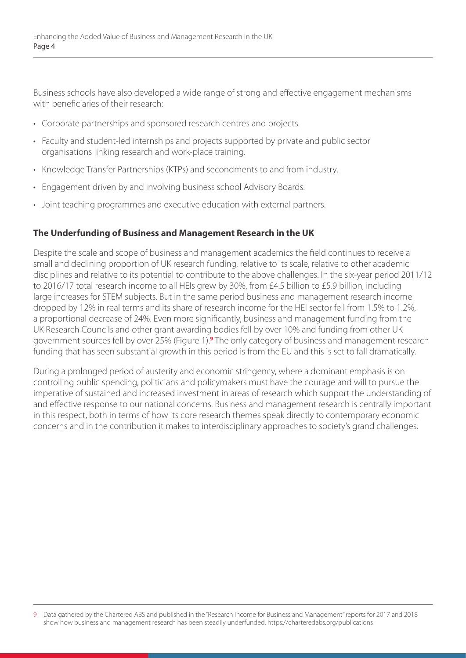Business schools have also developed a wide range of strong and effective engagement mechanisms with beneficiaries of their research:

- Corporate partnerships and sponsored research centres and projects.
- Faculty and student-led internships and projects supported by private and public sector organisations linking research and work-place training.
- Knowledge Transfer Partnerships (KTPs) and secondments to and from industry.
- Engagement driven by and involving business school Advisory Boards.
- Joint teaching programmes and executive education with external partners.

#### **The Underfunding of Business and Management Research in the UK**

Despite the scale and scope of business and management academics the field continues to receive a small and declining proportion of UK research funding, relative to its scale, relative to other academic disciplines and relative to its potential to contribute to the above challenges. In the six-year period 2011/12 to 2016/17 total research income to all HEIs grew by 30%, from £4.5 billion to £5.9 billion, including large increases for STEM subjects. But in the same period business and management research income dropped by 12% in real terms and its share of research income for the HEI sector fell from 1.5% to 1.2%, a proportional decrease of 24%. Even more significantly, business and management funding from the UK Research Councils and other grant awarding bodies fell by over 10% and funding from other UK government sources fell by over 25% (Figure 1).**<sup>9</sup>** The only category of business and management research funding that has seen substantial growth in this period is from the EU and this is set to fall dramatically.

During a prolonged period of austerity and economic stringency, where a dominant emphasis is on controlling public spending, politicians and policymakers must have the courage and will to pursue the imperative of sustained and increased investment in areas of research which support the understanding of and effective response to our national concerns. Business and management research is centrally important in this respect, both in terms of how its core research themes speak directly to contemporary economic concerns and in the contribution it makes to interdisciplinary approaches to society's grand challenges.

<sup>9</sup> Data gathered by the Chartered ABS and published in the "Research Income for Business and Management" reports for 2017 and 2018 show how business and management research has been steadily underfunded. https://charteredabs.org/publications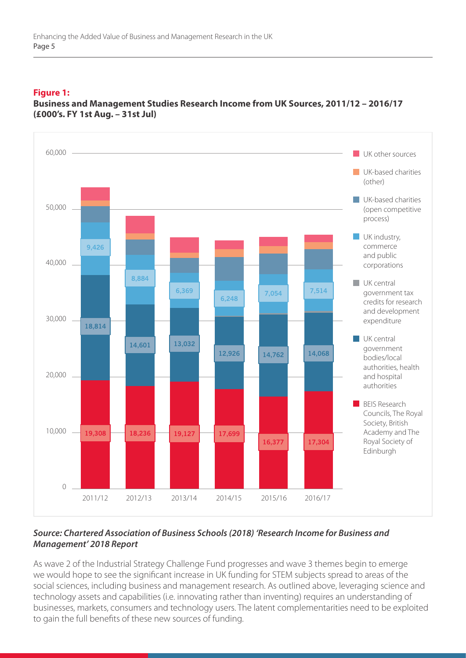#### **Figure 1:**



**Business and Management Studies Research Income from UK Sources, 2011/12 – 2016/17 (£000's. FY 1st Aug. – 31st Jul)**

#### *Source: Chartered Association of Business Schools (2018) 'Research Income for Business and Management' 2018 Report*

As wave 2 of the Industrial Strategy Challenge Fund progresses and wave 3 themes begin to emerge we would hope to see the significant increase in UK funding for STEM subjects spread to areas of the social sciences, including business and management research. As outlined above, leveraging science and technology assets and capabilities (i.e. innovating rather than inventing) requires an understanding of businesses, markets, consumers and technology users. The latent complementarities need to be exploited to gain the full benefits of these new sources of funding.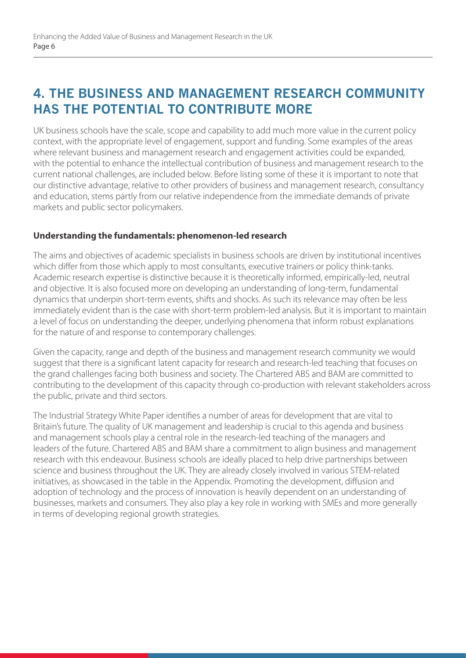### **4. THE BUSINESS AND MANAGEMENT RESEARCH COMMUNITY HAS THE POTENTIAL TO CONTRIBUTE MORE**

UK business schools have the scale, scope and capability to add much more value in the current policy context, with the appropriate level of engagement, support and funding. Some examples of the areas where relevant business and management research and engagement activities could be expanded, with the potential to enhance the intellectual contribution of business and management research to the current national challenges, are included below. Before listing some of these it is important to note that our distinctive advantage, relative to other providers of business and management research, consultancy and education, stems partly from our relative independence from the immediate demands of private markets and public sector policymakers.

#### **Understanding the fundamentals: phenomenon-led research**

The aims and objectives of academic specialists in business schools are driven by institutional incentives which differ from those which apply to most consultants, executive trainers or policy think-tanks. Academic research expertise is distinctive because it is theoretically informed, empirically-led, neutral and objective. It is also focused more on developing an understanding of long-term, fundamental dynamics that underpin short-term events, shifts and shocks. As such its relevance may often be less immediately evident than is the case with short-term problem-led analysis. But it is important to maintain a level of focus on understanding the deeper, underlying phenomena that inform robust explanations for the nature of and response to contemporary challenges.

Given the capacity, range and depth of the business and management research community we would suggest that there is a significant latent capacity for research and research-led teaching that focuses on the grand challenges facing both business and society. The Chartered ABS and BAM are committed to contributing to the development of this capacity through co-production with relevant stakeholders across the public, private and third sectors.

The Industrial Strategy White Paper identifies a number of areas for development that are vital to Britain's future. The quality of UK management and leadership is crucial to this agenda and business and management schools play a central role in the research-led teaching of the managers and leaders of the future. Chartered ABS and BAM share a commitment to align business and management research with this endeavour. Business schools are ideally placed to help drive partnerships between science and business throughout the UK. They are already closely involved in various STEM-related initiatives, as showcased in the table in the Appendix. Promoting the development, diffusion and adoption of technology and the process of innovation is heavily dependent on an understanding of businesses, markets and consumers. They also play a key role in working with SMEs and more generally in terms of developing regional growth strategies.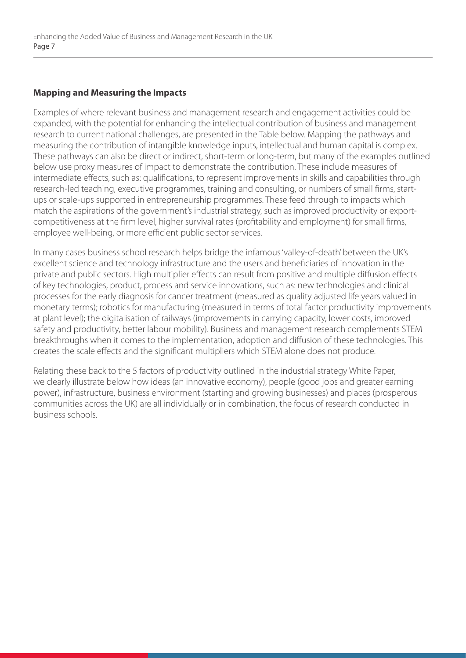#### **Mapping and Measuring the Impacts**

Examples of where relevant business and management research and engagement activities could be expanded, with the potential for enhancing the intellectual contribution of business and management research to current national challenges, are presented in the Table below. Mapping the pathways and measuring the contribution of intangible knowledge inputs, intellectual and human capital is complex. These pathways can also be direct or indirect, short-term or long-term, but many of the examples outlined below use proxy measures of impact to demonstrate the contribution. These include measures of intermediate effects, such as: qualifications, to represent improvements in skills and capabilities through research-led teaching, executive programmes, training and consulting, or numbers of small firms, startups or scale-ups supported in entrepreneurship programmes. These feed through to impacts which match the aspirations of the government's industrial strategy, such as improved productivity or exportcompetitiveness at the firm level, higher survival rates (profitability and employment) for small firms, employee well-being, or more efficient public sector services.

In many cases business school research helps bridge the infamous 'valley-of-death' between the UK's excellent science and technology infrastructure and the users and beneficiaries of innovation in the private and public sectors. High multiplier effects can result from positive and multiple diffusion effects of key technologies, product, process and service innovations, such as: new technologies and clinical processes for the early diagnosis for cancer treatment (measured as quality adjusted life years valued in monetary terms); robotics for manufacturing (measured in terms of total factor productivity improvements at plant level); the digitalisation of railways (improvements in carrying capacity, lower costs, improved safety and productivity, better labour mobility). Business and management research complements STEM breakthroughs when it comes to the implementation, adoption and diffusion of these technologies. This creates the scale effects and the significant multipliers which STEM alone does not produce.

Relating these back to the 5 factors of productivity outlined in the industrial strategy White Paper, we clearly illustrate below how ideas (an innovative economy), people (good jobs and greater earning power), infrastructure, business environment (starting and growing businesses) and places (prosperous communities across the UK) are all individually or in combination, the focus of research conducted in business schools.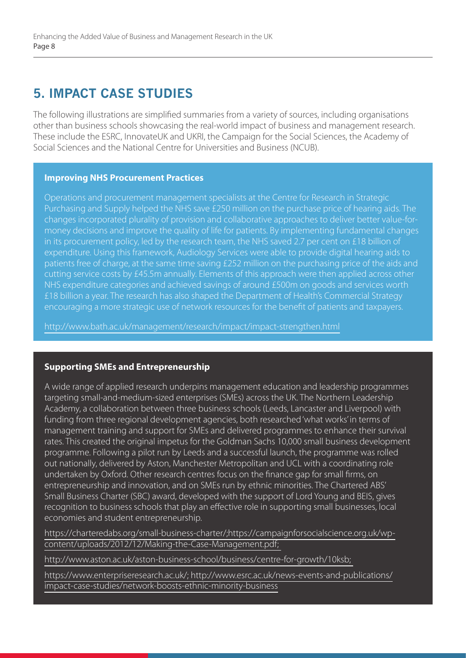### **5. IMPACT CASE STUDIES**

The following illustrations are simplified summaries from a variety of sources, including organisations other than business schools showcasing the real-world impact of business and management research. These include the ESRC, InnovateUK and UKRI, the Campaign for the Social Sciences, the Academy of Social Sciences and the National Centre for Universities and Business (NCUB).

#### **Improving NHS Procurement Practices**

Operations and procurement management specialists at the Centre for Research in Strategic Purchasing and Supply helped the NHS save £250 million on the purchase price of hearing aids. The changes incorporated plurality of provision and collaborative approaches to deliver better value-formoney decisions and improve the quality of life for patients. By implementing fundamental changes in its procurement policy, led by the research team, the NHS saved 2.7 per cent on £18 billion of expenditure. Using this framework, Audiology Services were able to provide digital hearing aids to patients free of charge, at the same time saving £252 million on the purchasing price of the aids and cutting service costs by £45.5m annually. Elements of this approach were then applied across other NHS expenditure categories and achieved savings of around £500m on goods and services worth £18 billion a year. The research has also shaped the Department of Health's Commercial Strategy encouraging a more strategic use of network resources for the benefit of patients and taxpayers.

http://www.bath.ac.uk/management/research/impact/impact-strengthen.html

#### **Supporting SMEs and Entrepreneurship**

A wide range of applied research underpins management education and leadership programmes targeting small-and-medium-sized enterprises (SMEs) across the UK. The Northern Leadership Academy, a collaboration between three business schools (Leeds, Lancaster and Liverpool) with funding from three regional development agencies, both researched 'what works' in terms of management training and support for SMEs and delivered programmes to enhance their survival rates. This created the original impetus for the Goldman Sachs 10,000 small business development programme. Following a pilot run by Leeds and a successful launch, the programme was rolled out nationally, delivered by Aston, Manchester Metropolitan and UCL with a coordinating role undertaken by Oxford. Other research centres focus on the finance gap for small firms, on entrepreneurship and innovation, and on SMEs run by ethnic minorities. The Chartered ABS' Small Business Charter (SBC) award, developed with the support of Lord Young and BEIS, gives recognition to business schools that play an effective role in supporting small businesses, local economies and student entrepreneurship.

https://charteredabs.org/small-business-charter/;https://campaignforsocialscience.org.uk/wpcontent/uploads/2012/12/Making-the-Case-Management.pdf;

http://www.aston.ac.uk/aston-business-school/business/centre-for-growth/10ksb;

https://www.enterpriseresearch.ac.uk/; http://www.esrc.ac.uk/news-events-and-publications/ impact-case-studies/network-boosts-ethnic-minority-business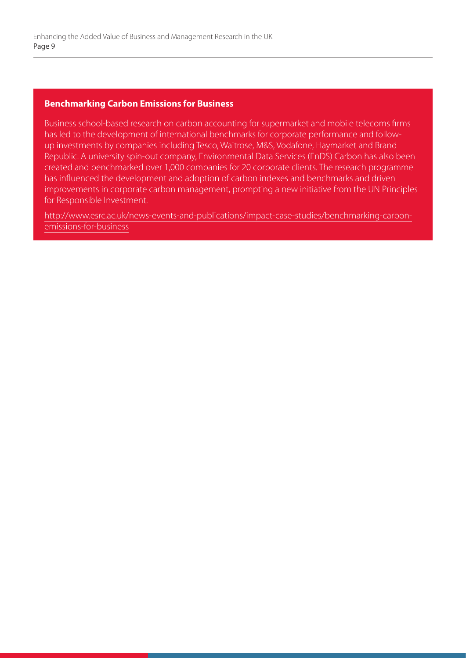#### **Benchmarking Carbon Emissions for Business**

Business school-based research on carbon accounting for supermarket and mobile telecoms firms has led to the development of international benchmarks for corporate performance and followup investments by companies including Tesco, Waitrose, M&S, Vodafone, Haymarket and Brand Republic. A university spin-out company, Environmental Data Services (EnDS) Carbon has also been created and benchmarked over 1,000 companies for 20 corporate clients. The research programme has influenced the development and adoption of carbon indexes and benchmarks and driven improvements in corporate carbon management, prompting a new initiative from the UN Principles for Responsible Investment.

http://www.esrc.ac.uk/news-events-and-publications/impact-case-studies/benchmarking-carbonemissions-for-business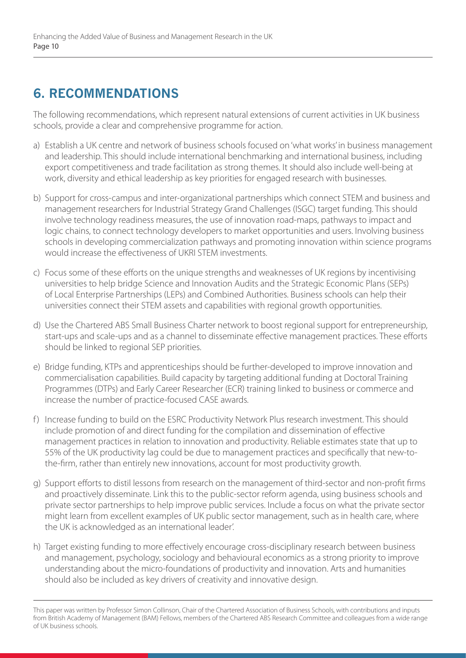# **6. RECOMMENDATIONS**

The following recommendations, which represent natural extensions of current activities in UK business schools, provide a clear and comprehensive programme for action.

- a) Establish a UK centre and network of business schools focused on 'what works' in business management and leadership. This should include international benchmarking and international business, including export competitiveness and trade facilitation as strong themes. It should also include well-being at work, diversity and ethical leadership as key priorities for engaged research with businesses.
- b) Support for cross-campus and inter-organizational partnerships which connect STEM and business and management researchers for Industrial Strategy Grand Challenges (ISGC) target funding. This should involve technology readiness measures, the use of innovation road-maps, pathways to impact and logic chains, to connect technology developers to market opportunities and users. Involving business schools in developing commercialization pathways and promoting innovation within science programs would increase the effectiveness of UKRI STEM investments.
- c) Focus some of these efforts on the unique strengths and weaknesses of UK regions by incentivising universities to help bridge Science and Innovation Audits and the Strategic Economic Plans (SEPs) of Local Enterprise Partnerships (LEPs) and Combined Authorities. Business schools can help their universities connect their STEM assets and capabilities with regional growth opportunities.
- d) Use the Chartered ABS Small Business Charter network to boost regional support for entrepreneurship, start-ups and scale-ups and as a channel to disseminate effective management practices. These efforts should be linked to regional SEP priorities.
- e) Bridge funding, KTPs and apprenticeships should be further-developed to improve innovation and commercialisation capabilities. Build capacity by targeting additional funding at Doctoral Training Programmes (DTPs) and Early Career Researcher (ECR) training linked to business or commerce and increase the number of practice-focused CASE awards.
- f) Increase funding to build on the ESRC Productivity Network Plus research investment. This should include promotion of and direct funding for the compilation and dissemination of effective management practices in relation to innovation and productivity. Reliable estimates state that up to 55% of the UK productivity lag could be due to management practices and specifically that new-tothe-firm, rather than entirely new innovations, account for most productivity growth.
- g) Support efforts to distil lessons from research on the management of third-sector and non-profit firms and proactively disseminate. Link this to the public-sector reform agenda, using business schools and private sector partnerships to help improve public services. Include a focus on what the private sector might learn from excellent examples of UK public sector management, such as in health care, where the UK is acknowledged as an international leader'.
- h) Target existing funding to more effectively encourage cross-disciplinary research between business and management, psychology, sociology and behavioural economics as a strong priority to improve understanding about the micro-foundations of productivity and innovation. Arts and humanities should also be included as key drivers of creativity and innovative design.

This paper was written by Professor Simon Collinson, Chair of the Chartered Association of Business Schools, with contributions and inputs from British Academy of Management (BAM) Fellows, members of the Chartered ABS Research Committee and colleagues from a wide range of UK business schools.